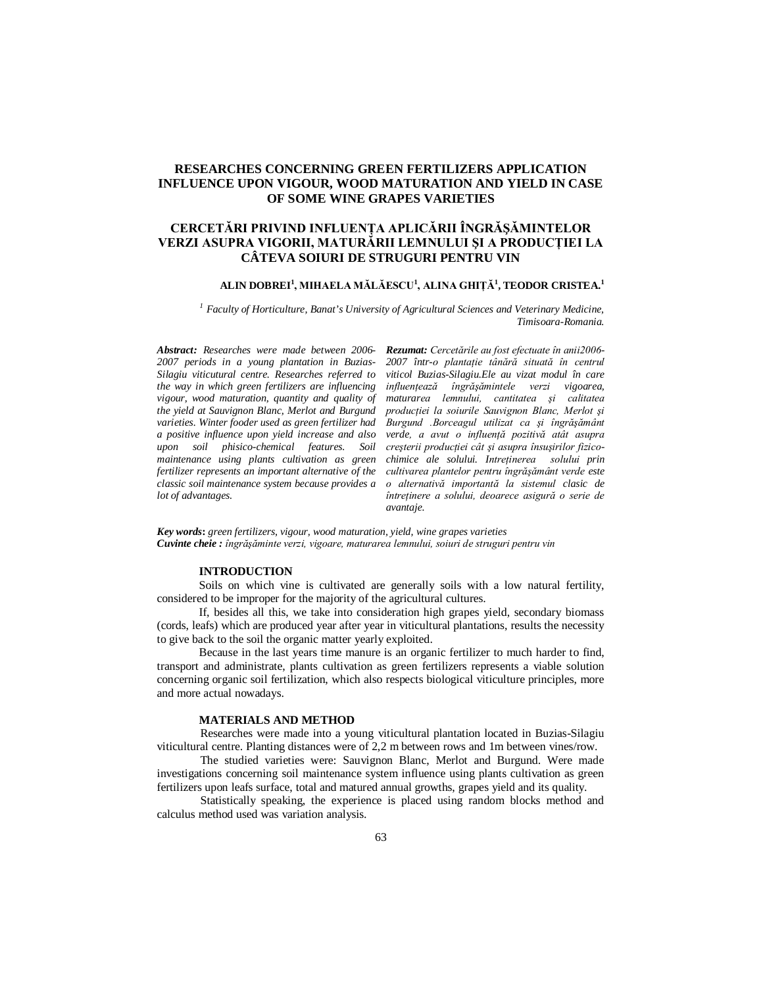# **RESEARCHES CONCERNING GREEN FERTILIZERS APPLICATION INFLUENCE UPON VIGOUR, WOOD MATURATION AND YIELD IN CASE OF SOME WINE GRAPES VARIETIES**

# **CERCETĂRI PRIVIND INFLUENŢA APLICĂRII ÎNGRĂŞĂMINTELOR VERZI ASUPRA VIGORII, MATURĂRII LEMNULUI ŞI A PRODUCŢIEI LA CÂTEVA SOIURI DE STRUGURI PENTRU VIN**

#### **ALIN DOBREI<sup>1</sup> , MIHAELA MĂLĂESCU<sup>1</sup> , ALINA GHIŢĂ<sup>1</sup> , TEODOR CRISTEA.<sup>1</sup>**

*<sup>1</sup> Faculty of Horticulture, Banat's University of Agricultural Sciences and Veterinary Medicine, Timisoara-Romania.*

*Abstract: Researches were made between 2006- 2007 periods in a young plantation in Buzias-Silagiu viticutural centre. Researches referred to the way in which green fertilizers are influencing vigour, wood maturation, quantity and quality of the yield at Sauvignon Blanc, Merlot and Burgund varieties. Winter fooder used as green fertilizer had a positive influence upon yield increase and also upon soil phisico-chemical features. Soil maintenance using plants cultivation as green fertilizer represents an important alternative of the classic soil maintenance system because provides a lot of advantages.*

*Rezumat: Cercetările au fost efectuate în anii2006- 2007 într-o plantaţie tânără situată în centrul viticol Buzias-Silagiu.Ele au vizat modul în care influenţează îngrăşămintele verzi vigoarea, maturarea lemnului, cantitatea şi calitatea producţiei la soiurile Sauvignon Blanc, Merlot şi Burgund .Borceagul utilizat ca şi îngrăşământ verde, a avut o influenţă pozitivă atât asupra creşterii producţiei cât şi asupra însuşirilor fizicochimice ale solului. Intreţinerea solului prin cultivarea plantelor pentru îngrăşământ verde este o alternativă importantă la sistemul clasic de întreţinere a solului, deoarece asigură o serie de avantaje.*

*Key words***:** *green fertilizers, vigour, wood maturation, yield, wine grapes varieties Cuvinte cheie : îngrăşăminte verzi, vigoare, maturarea lemnului, soiuri de struguri pentru vin*

#### **INTRODUCTION**

Soils on which vine is cultivated are generally soils with a low natural fertility, considered to be improper for the majority of the agricultural cultures.

If, besides all this, we take into consideration high grapes yield, secondary biomass (cords, leafs) which are produced year after year in viticultural plantations, results the necessity to give back to the soil the organic matter yearly exploited.

Because in the last years time manure is an organic fertilizer to much harder to find, transport and administrate, plants cultivation as green fertilizers represents a viable solution concerning organic soil fertilization, which also respects biological viticulture principles, more and more actual nowadays.

### **MATERIALS AND METHOD**

Researches were made into a young viticultural plantation located in Buzias-Silagiu viticultural centre. Planting distances were of 2,2 m between rows and 1m between vines/row.

The studied varieties were: Sauvignon Blanc, Merlot and Burgund. Were made investigations concerning soil maintenance system influence using plants cultivation as green fertilizers upon leafs surface, total and matured annual growths, grapes yield and its quality.

Statistically speaking, the experience is placed using random blocks method and calculus method used was variation analysis.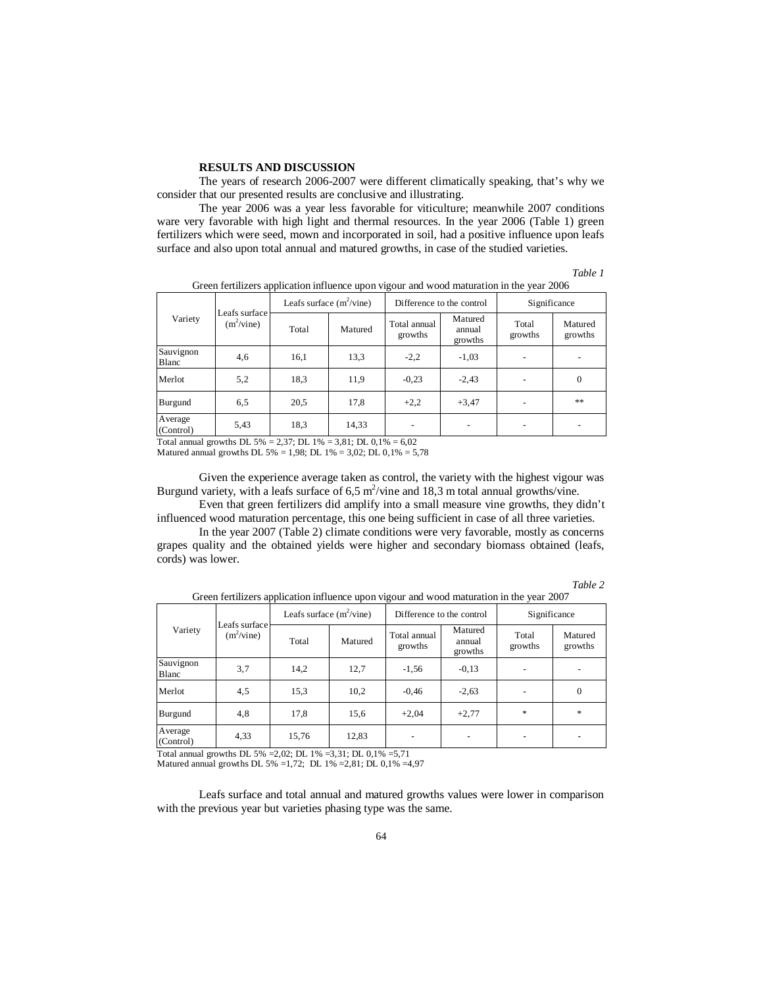#### **RESULTS AND DISCUSSION**

The years of research 2006-2007 were different climatically speaking, that's why we consider that our presented results are conclusive and illustrating.

The year 2006 was a year less favorable for viticulture; meanwhile 2007 conditions ware very favorable with high light and thermal resources. In the year 2006 (Table 1) green fertilizers which were seed, mown and incorporated in soil, had a positive influence upon leafs surface and also upon total annual and matured growths, in case of the studied varieties.

*Table 1*

| Variety              | Leafs surface<br>$(m^2/\text{vine})$ | Leafs surface $(m^2$ /vine) |         | Difference to the control |                              | Significance     |                    |
|----------------------|--------------------------------------|-----------------------------|---------|---------------------------|------------------------------|------------------|--------------------|
|                      |                                      | Total                       | Matured | Total annual<br>growths   | Matured<br>annual<br>growths | Total<br>growths | Matured<br>growths |
| Sauvignon<br>Blanc   | 4,6                                  | 16,1                        | 13.3    | $-2,2$                    | $-1,03$                      |                  |                    |
| Merlot               | 5,2                                  | 18,3                        | 11,9    | $-0,23$                   | $-2,43$                      |                  | $\theta$           |
| Burgund              | 6,5                                  | 20,5                        | 17,8    | $+2,2$                    | $+3,47$                      |                  | **                 |
| Average<br>(Control) | 5,43                                 | 18,3                        | 14,33   |                           |                              |                  |                    |

Green fertilizers application influence upon vigour and wood maturation in the year 2006

Total annual growths DL 5% = 2,37; DL 1% = 3,81; DL 0,1% = 6,02

Matured annual growths DL 5% = 1,98; DL 1% = 3,02; DL 0,1% = 5,78

Given the experience average taken as control, the variety with the highest vigour was Burgund variety, with a leafs surface of  $6.5 \text{ m}^2/\text{vine}$  and 18.3 m total annual growths/vine.

Even that green fertilizers did amplify into a small measure vine growths, they didn't influenced wood maturation percentage, this one being sufficient in case of all three varieties.

In the year 2007 (Table 2) climate conditions were very favorable, mostly as concerns grapes quality and the obtained yields were higher and secondary biomass obtained (leafs, cords) was lower.

| ani |  |
|-----|--|
|     |  |

| Variety              | Leafs surface<br>$(m^2/\text{vine})$ | Leafs surface $(m^2$ /vine) |         | Difference to the control |                              | Significance     |                    |
|----------------------|--------------------------------------|-----------------------------|---------|---------------------------|------------------------------|------------------|--------------------|
|                      |                                      | Total                       | Matured | Total annual<br>growths   | Matured<br>annual<br>growths | Total<br>growths | Matured<br>growths |
| Sauvignon<br>Blanc   | 3,7                                  | 14,2                        | 12,7    | $-1,56$                   | $-0,13$                      |                  |                    |
| Merlot               | 4,5                                  | 15,3                        | 10,2    | $-0,46$                   | $-2,63$                      |                  | $\theta$           |
| Burgund              | 4,8                                  | 17,8                        | 15,6    | $+2.04$                   | $+2,77$                      | $\ast$           | $\ast$             |
| Average<br>(Control) | 4,33                                 | 15,76                       | 12,83   |                           |                              |                  |                    |

Green fertilizers application influence upon vigour and wood maturation in the year 2007

Total annual growths DL 5% =2,02; DL 1% =3,31; DL 0,1% =5,71

Matured annual growths DL 5% =1,72; DL 1% =2,81; DL 0,1% =4,97

Leafs surface and total annual and matured growths values were lower in comparison with the previous year but varieties phasing type was the same.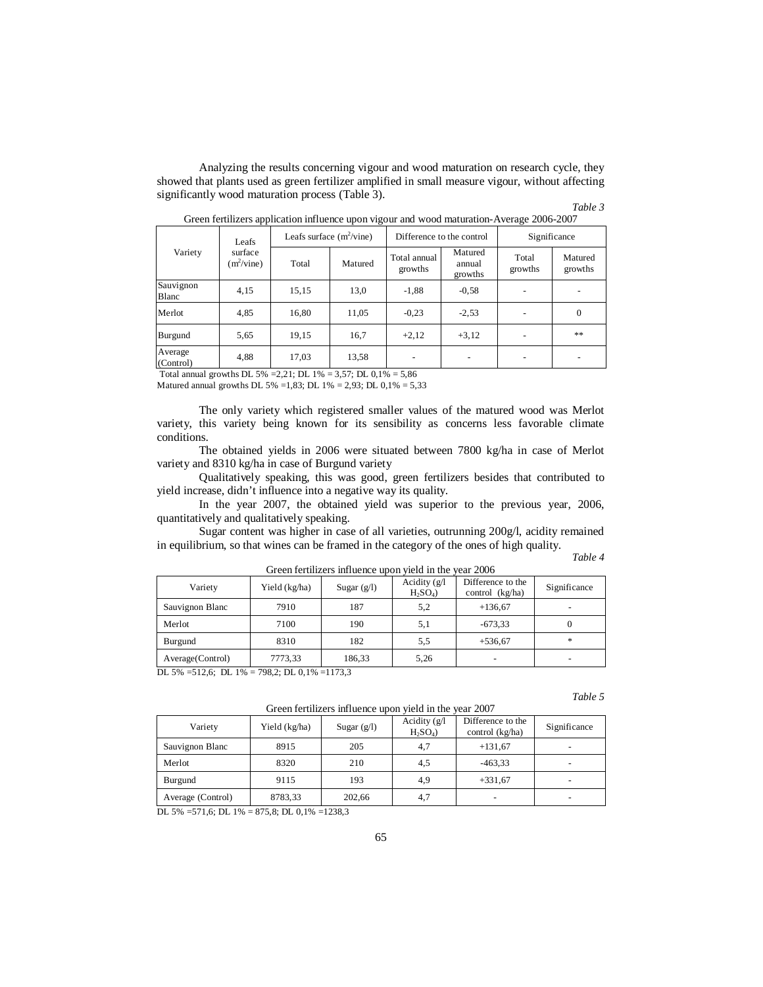Analyzing the results concerning vigour and wood maturation on research cycle, they showed that plants used as green fertilizer amplified in small measure vigour, without affecting significantly wood maturation process (Table 3).

| ,,<br>ar |  |
|----------|--|
|----------|--|

| Variety              | Leafs<br>surface<br>$(m^2/\text{vine})$ | Leafs surface $(m^2/vine)$ |         | Difference to the control |                              | Significance     |                    |
|----------------------|-----------------------------------------|----------------------------|---------|---------------------------|------------------------------|------------------|--------------------|
|                      |                                         | Total                      | Matured | Total annual<br>growths   | Matured<br>annual<br>growths | Total<br>growths | Matured<br>growths |
| Sauvignon<br>Blanc   | 4,15                                    | 15,15                      | 13,0    | $-1,88$                   | $-0.58$                      |                  |                    |
| Merlot               | 4,85                                    | 16,80                      | 11,05   | $-0,23$                   | $-2,53$                      |                  | $\theta$           |
| Burgund              | 5,65                                    | 19,15                      | 16,7    | $+2,12$                   | $+3,12$                      |                  | **                 |
| Average<br>(Control) | 4,88                                    | 17,03                      | 13,58   |                           |                              |                  |                    |

|  | Green fertilizers application influence upon vigour and wood maturation-Average 2006-2007 |
|--|-------------------------------------------------------------------------------------------|
|  |                                                                                           |

 Total annual growths DL 5% =2,21; DL 1% = 3,57; DL 0,1% = 5,86 Matured annual growths DL 5% =1,83; DL 1% = 2,93; DL  $0,1\% = 5,33$ 

The only variety which registered smaller values of the matured wood was Merlot variety, this variety being known for its sensibility as concerns less favorable climate conditions.

The obtained yields in 2006 were situated between 7800 kg/ha in case of Merlot variety and 8310 kg/ha in case of Burgund variety

Qualitatively speaking, this was good, green fertilizers besides that contributed to yield increase, didn't influence into a negative way its quality.

In the year 2007, the obtained yield was superior to the previous year, 2006, quantitatively and qualitatively speaking.

Sugar content was higher in case of all varieties, outrunning 200g/l, acidity remained in equilibrium, so that wines can be framed in the category of the ones of high quality.

| Table |  |
|-------|--|
|       |  |

| Green fertilizers influence upon yield in the year 2006 |               |               |                                                   |                                        |              |  |  |
|---------------------------------------------------------|---------------|---------------|---------------------------------------------------|----------------------------------------|--------------|--|--|
| Variety                                                 | Yield (kg/ha) | Sugar $(g/l)$ | Acidity $(g/l)$<br>H <sub>2</sub> SO <sub>4</sub> | Difference to the<br>control $(kg/ha)$ | Significance |  |  |
| Sauvignon Blanc                                         | 7910          | 187           | 5,2                                               | $+136,67$                              |              |  |  |
| Merlot                                                  | 7100          | 190           | 5,1                                               | $-673,33$                              | 0            |  |  |
| Burgund                                                 | 8310          | 182           | 5,5                                               | $+536,67$                              | *            |  |  |
| Average (Control)                                       | 7773,33       | 186,33        | 5,26                                              |                                        |              |  |  |

DL 5% =512,6; DL 1% = 798,2; DL 0,1% =1173,3

*Table 5*

| . <i>.</i>        |               |               |                              |                                      |                          |  |  |  |
|-------------------|---------------|---------------|------------------------------|--------------------------------------|--------------------------|--|--|--|
| Variety           | Yield (kg/ha) | Sugar $(g/l)$ | Acidity $(g/l)$<br>$H_2SO_4$ | Difference to the<br>control (kg/ha) | Significance             |  |  |  |
| Sauvignon Blanc   | 8915          | 205           | 4,7                          | $+131,67$                            | $\overline{\phantom{a}}$ |  |  |  |
| Merlot            | 8320          | 210           | 4,5                          | $-463,33$                            | $\overline{\phantom{0}}$ |  |  |  |
| Burgund           | 9115          | 193           | 4,9                          | $+331,67$                            | $\overline{\phantom{a}}$ |  |  |  |
| Average (Control) | 8783,33       | 202.66        | 4,7                          |                                      | $\overline{\phantom{a}}$ |  |  |  |

DL 5% =571,6; DL 1% = 875,8; DL 0,1% =1238,3